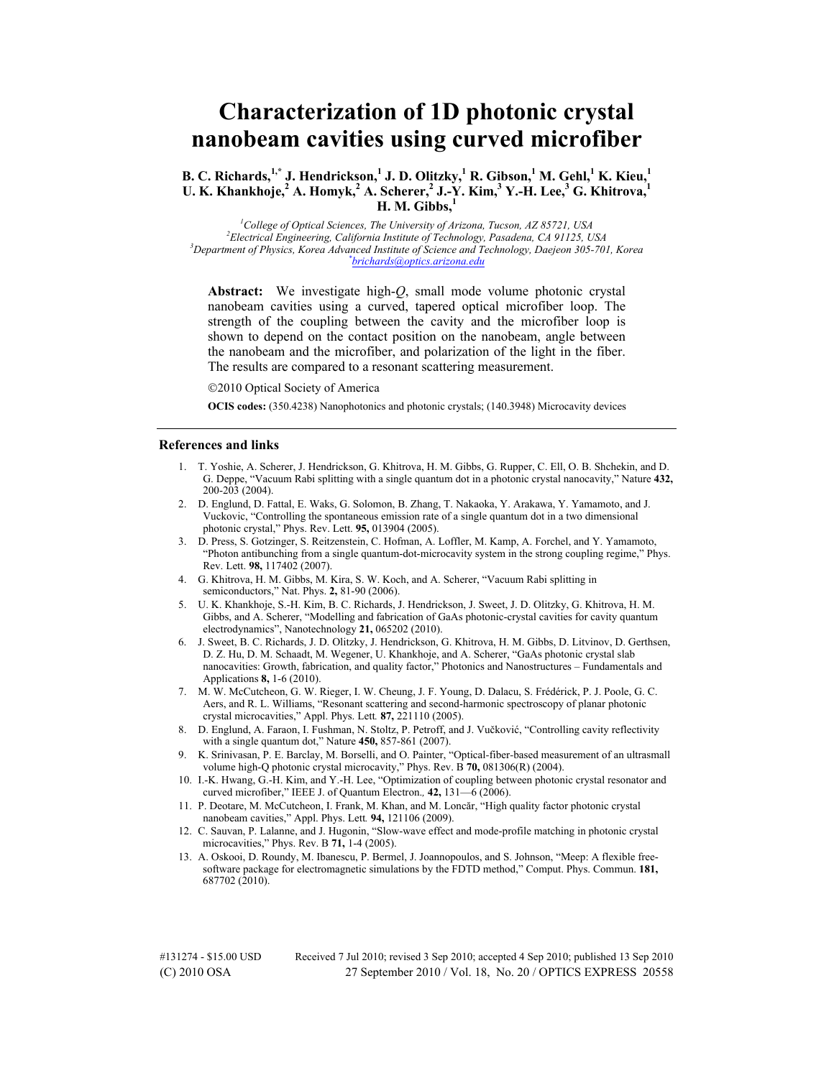# **Characterization of 1D photonic crystal nanobeam cavities using curved microfiber**

**B. C. Richards,1,\* J. Hendrickson,<sup>1</sup> J. D. Olitzky,<sup>1</sup> R. Gibson,<sup>1</sup> M. Gehl,<sup>1</sup> K. Kieu,<sup>1</sup> U. K. Khankhoje,<sup>2</sup> A. Homyk,<sup>2</sup> A. Scherer,<sup>2</sup> J.-Y. Kim,<sup>3</sup> Y.-H. Lee,<sup>3</sup> G. Khitrova,<sup>1</sup> H. M. Gibbs,<sup>1</sup>**

*College of Optical Sciences, The University of Arizona, Tucson, AZ 85721, USA Electrical Engineering, California Institute of Technology, Pasadena, CA 91125, USA Department of Physics, Korea Advanced Institute of Science and Technology, Daejeon 305-701, Korea \* brichards@optics.arizona.edu* 

**Abstract:** We investigate high-*Q*, small mode volume photonic crystal nanobeam cavities using a curved, tapered optical microfiber loop. The strength of the coupling between the cavity and the microfiber loop is shown to depend on the contact position on the nanobeam, angle between the nanobeam and the microfiber, and polarization of the light in the fiber. The results are compared to a resonant scattering measurement.

2010 Optical Society of America

**OCIS codes:** (350.4238) Nanophotonics and photonic crystals; (140.3948) Microcavity devices

#### **References and links**

- 1. T. Yoshie, A. Scherer, J. Hendrickson, G. Khitrova, H. M. Gibbs, G. Rupper, C. Ell, O. B. Shchekin, and D. G. Deppe, "Vacuum Rabi splitting with a single quantum dot in a photonic crystal nanocavity," Nature **432,** 200-203 (2004).
- 2. D. Englund, D. Fattal, E. Waks, G. Solomon, B. Zhang, T. Nakaoka, Y. Arakawa, Y. Yamamoto, and J. Vuckovic, "Controlling the spontaneous emission rate of a single quantum dot in a two dimensional photonic crystal," Phys. Rev. Lett. **95,** 013904 (2005).
- 3. D. Press, S. Gotzinger, S. Reitzenstein, C. Hofman, A. Loffler, M. Kamp, A. Forchel, and Y. Yamamoto, "Photon antibunching from a single quantum-dot-microcavity system in the strong coupling regime," Phys. Rev. Lett. **98,** 117402 (2007).
- 4. G. Khitrova, H. M. Gibbs, M. Kira, S. W. Koch, and A. Scherer, "Vacuum Rabi splitting in semiconductors," Nat. Phys. **2,** 81-90 (2006).
- 5. U. K. Khankhoje, S.-H. Kim, B. C. Richards, J. Hendrickson, J. Sweet, J. D. Olitzky, G. Khitrova, H. M. Gibbs, and A. Scherer, "Modelling and fabrication of GaAs photonic-crystal cavities for cavity quantum electrodynamics", Nanotechnology **21,** 065202 (2010).
- 6. J. Sweet, B. C. Richards, J. D. Olitzky, J. Hendrickson, G. Khitrova, H. M. Gibbs, D. Litvinov, D. Gerthsen, D. Z. Hu, D. M. Schaadt, M. Wegener, U. Khankhoje, and A. Scherer, "GaAs photonic crystal slab nanocavities: Growth, fabrication, and quality factor," Photonics and Nanostructures – Fundamentals and Applications **8,** 1-6 (2010).
- 7. M. W. McCutcheon, G. W. Rieger, I. W. Cheung, J. F. Young, D. Dalacu, S. Frédérick, P. J. Poole, G. C. Aers, and R. L. Williams, "Resonant scattering and second-harmonic spectroscopy of planar photonic crystal microcavities," Appl. Phys. Lett*.* **87,** 221110 (2005).
- 8. D. Englund, A. Faraon, I. Fushman, N. Stoltz, P. Petroff, and J. Vučković, "Controlling cavity reflectivity with a single quantum dot," Nature **450,** 857-861 (2007).
- 9. K. Srinivasan, P. E. Barclay, M. Borselli, and O. Painter, "Optical*-*fiber*-*based measurement of an ultrasmall volume high-Q photonic crystal microcavity," Phys. Rev. B **70,** 081306(R) (2004).
- 10. I.-K. Hwang, G.-H. Kim, and Y.-H. Lee, "Optimization of coupling between photonic crystal resonator and curved microfiber," IEEE J. of Quantum Electron.*,* **42,** 131—6 (2006).
- 11. P. Deotare, M. McCutcheon, I. Frank, M. Khan, and M. Loncăr, "High quality factor photonic crystal nanobeam cavities," Appl. Phys. Lett*.* **94,** 121106 (2009).
- 12. C. Sauvan, P. Lalanne, and J. Hugonin, "Slow-wave effect and mode-profile matching in photonic crystal microcavities," Phys. Rev. B **71,** 1-4 (2005).
- 13. A. Oskooi, D. Roundy, M. Ibanescu, P. Bermel, J. Joannopoulos, and S. Johnson, "Meep: A flexible freesoftware package for electromagnetic simulations by the FDTD method," Comput. Phys. Commun. **181,** 687702 (2010).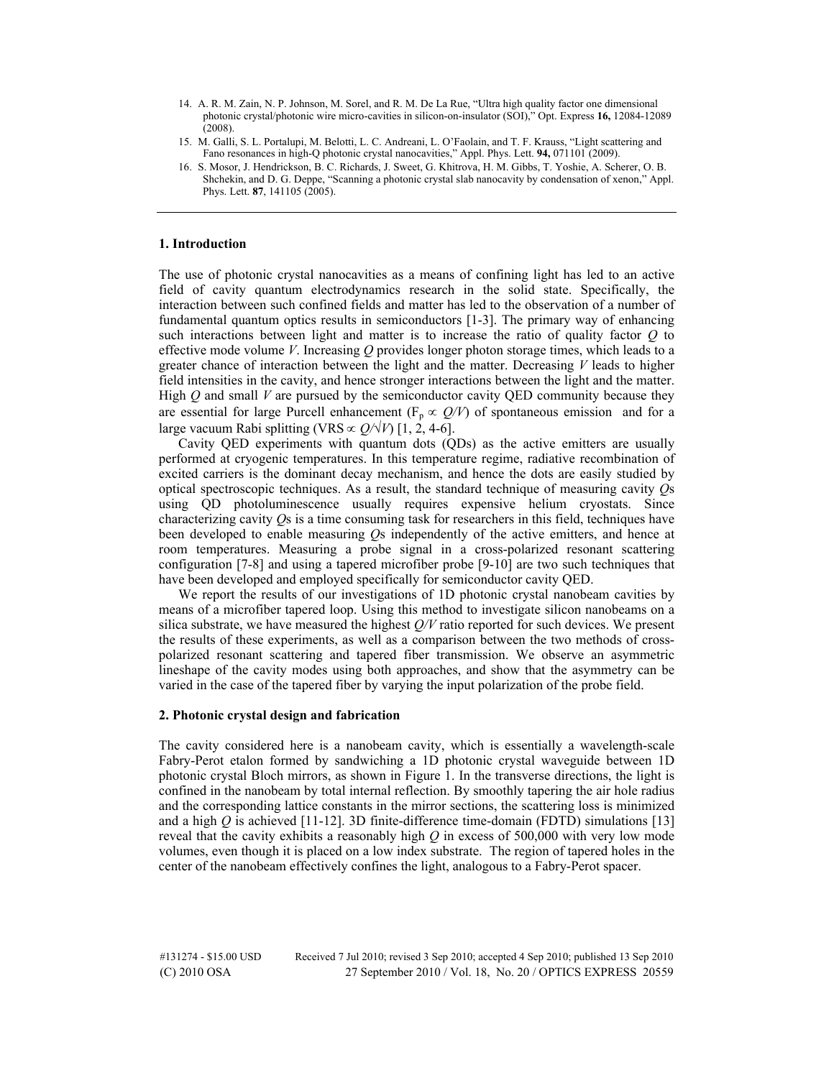- 14. A. R. M. Zain, N. P. Johnson, M. Sorel, and R. M. De La Rue, "Ultra high quality factor one dimensional photonic crystal/photonic wire micro-cavities in silicon-on-insulator (SOI)," Opt. Express **16,** 12084-12089 (2008).
- 15. M. Galli, S. L. Portalupi, M. Belotti, L. C. Andreani, L. O'Faolain, and T. F. Krauss, "Light scattering and Fano resonances in high-Q photonic crystal nanocavities," Appl. Phys. Lett. **94,** 071101 (2009).
- 16. S. Mosor, J. Hendrickson, B. C. Richards, J. Sweet, G. Khitrova, H. M. Gibbs, T. Yoshie, A. Scherer, O. B. Shchekin, and D. G. Deppe, "Scanning a photonic crystal slab nanocavity by condensation of xenon," Appl. Phys. Lett. **87**, 141105 (2005).

## **1. Introduction**

The use of photonic crystal nanocavities as a means of confining light has led to an active field of cavity quantum electrodynamics research in the solid state. Specifically, the interaction between such confined fields and matter has led to the observation of a number of fundamental quantum optics results in semiconductors [1-3]. The primary way of enhancing such interactions between light and matter is to increase the ratio of quality factor *Q* to effective mode volume *V*. Increasing *Q* provides longer photon storage times, which leads to a greater chance of interaction between the light and the matter. Decreasing *V* leads to higher field intensities in the cavity, and hence stronger interactions between the light and the matter. High *Q* and small *V* are pursued by the semiconductor cavity QED community because they are essential for large Purcell enhancement  $(F_p \propto Q/V)$  of spontaneous emission and for a large vacuum Rabi splitting (VRS  $\propto$  *Q*/ $\sqrt{V}$ ) [1, 2, 4-6].

 Cavity QED experiments with quantum dots (QDs) as the active emitters are usually performed at cryogenic temperatures. In this temperature regime, radiative recombination of excited carriers is the dominant decay mechanism, and hence the dots are easily studied by optical spectroscopic techniques. As a result, the standard technique of measuring cavity *Q*s using QD photoluminescence usually requires expensive helium cryostats. Since characterizing cavity *Q*s is a time consuming task for researchers in this field, techniques have been developed to enable measuring *Q*s independently of the active emitters, and hence at room temperatures. Measuring a probe signal in a cross-polarized resonant scattering configuration [7-8] and using a tapered microfiber probe [9-10] are two such techniques that have been developed and employed specifically for semiconductor cavity QED.

 We report the results of our investigations of 1D photonic crystal nanobeam cavities by means of a microfiber tapered loop. Using this method to investigate silicon nanobeams on a silica substrate, we have measured the highest *Q/V* ratio reported for such devices. We present the results of these experiments, as well as a comparison between the two methods of crosspolarized resonant scattering and tapered fiber transmission. We observe an asymmetric lineshape of the cavity modes using both approaches, and show that the asymmetry can be varied in the case of the tapered fiber by varying the input polarization of the probe field.

# **2. Photonic crystal design and fabrication**

The cavity considered here is a nanobeam cavity, which is essentially a wavelength-scale Fabry-Perot etalon formed by sandwiching a 1D photonic crystal waveguide between 1D photonic crystal Bloch mirrors, as shown in Figure 1. In the transverse directions, the light is confined in the nanobeam by total internal reflection. By smoothly tapering the air hole radius and the corresponding lattice constants in the mirror sections, the scattering loss is minimized and a high  $Q$  is achieved [11-12]. 3D finite-difference time-domain (FDTD) simulations [13] reveal that the cavity exhibits a reasonably high *Q* in excess of 500,000 with very low mode volumes, even though it is placed on a low index substrate. The region of tapered holes in the center of the nanobeam effectively confines the light, analogous to a Fabry-Perot spacer.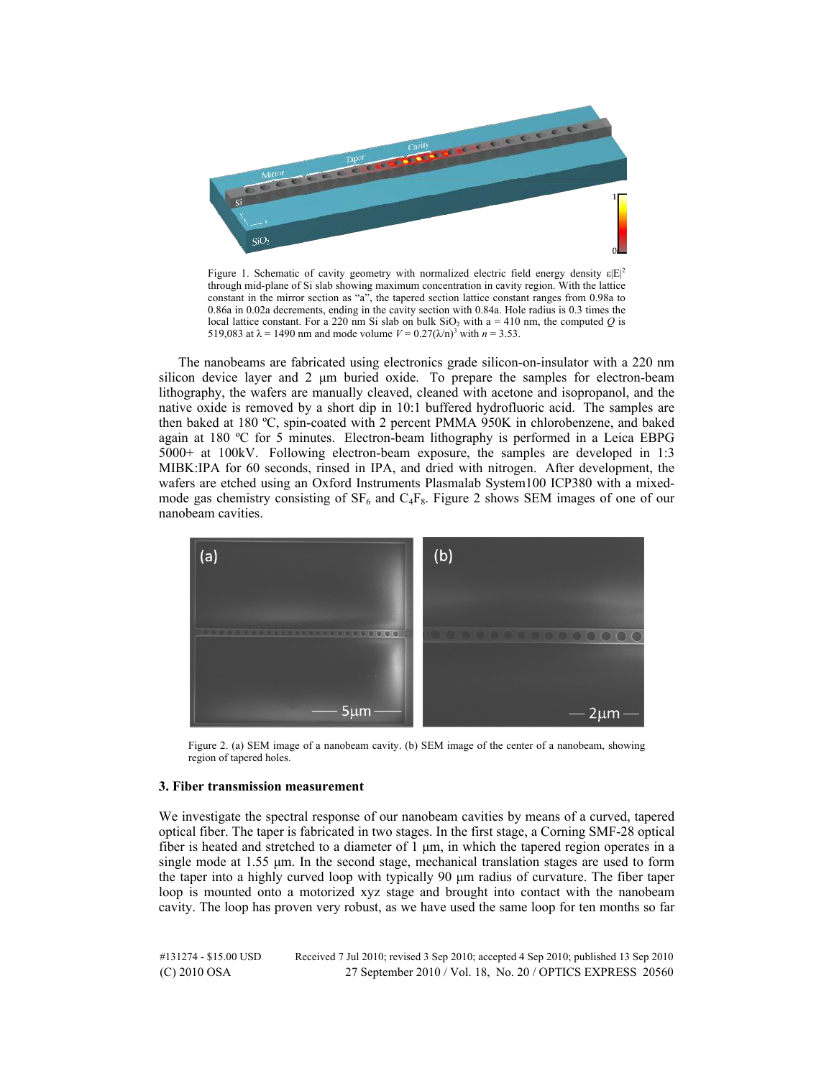

Figure 1. Schematic of cavity geometry with normalized electric field energy density  $\varepsilon |E|^2$ through mid-plane of Si slab showing maximum concentration in cavity region. With the lattice constant in the mirror section as "a", the tapered section lattice constant ranges from 0.98a to 0.86a in 0.02a decrements, ending in the cavity section with 0.84a. Hole radius is 0.3 times the local lattice constant. For a 220 nm Si slab on bulk  $SiO<sub>2</sub>$  with a = 410 nm, the computed *Q* is 519,083 at  $\lambda = 1490$  nm and mode volume  $V = 0.27(\lambda/n)^3$  with  $n = 3.53$ .

 The nanobeams are fabricated using electronics grade silicon-on-insulator with a 220 nm silicon device layer and 2 μm buried oxide. To prepare the samples for electron-beam lithography, the wafers are manually cleaved, cleaned with acetone and isopropanol, and the native oxide is removed by a short dip in 10:1 buffered hydrofluoric acid. The samples are then baked at 180 ºC, spin-coated with 2 percent PMMA 950K in chlorobenzene, and baked again at 180 ºC for 5 minutes. Electron-beam lithography is performed in a Leica EBPG 5000+ at 100kV. Following electron-beam exposure, the samples are developed in 1:3 MIBK:IPA for 60 seconds, rinsed in IPA, and dried with nitrogen. After development, the wafers are etched using an Oxford Instruments Plasmalab System100 ICP380 with a mixedmode gas chemistry consisting of  $SF_6$  and  $C_4F_8$ . Figure 2 shows SEM images of one of our nanobeam cavities.



Figure 2. (a) SEM image of a nanobeam cavity. (b) SEM image of the center of a nanobeam, showing region of tapered holes.

# **3. Fiber transmission measurement**

We investigate the spectral response of our nanobeam cavities by means of a curved, tapered optical fiber. The taper is fabricated in two stages. In the first stage, a Corning SMF-28 optical fiber is heated and stretched to a diameter of 1 μm, in which the tapered region operates in a single mode at 1.55 μm. In the second stage, mechanical translation stages are used to form the taper into a highly curved loop with typically 90 μm radius of curvature. The fiber taper loop is mounted onto a motorized xyz stage and brought into contact with the nanobeam cavity. The loop has proven very robust, as we have used the same loop for ten months so far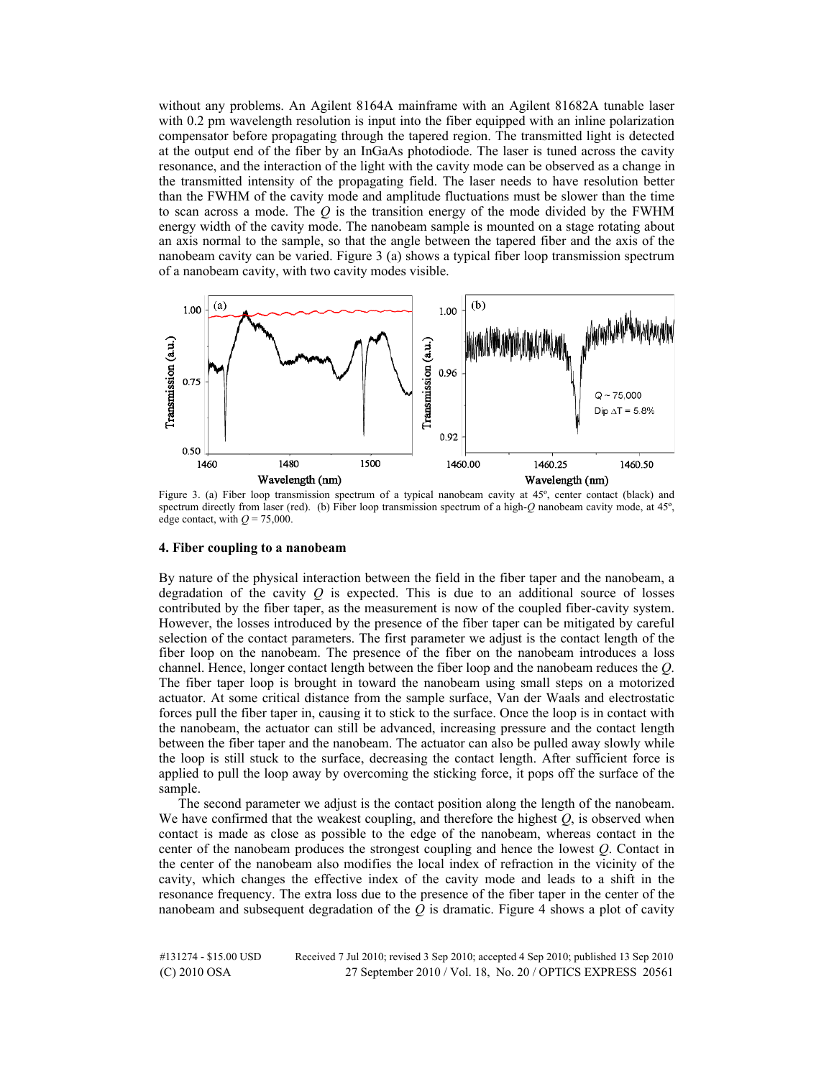without any problems. An Agilent 8164A mainframe with an Agilent 81682A tunable laser with 0.2 pm wavelength resolution is input into the fiber equipped with an inline polarization compensator before propagating through the tapered region. The transmitted light is detected at the output end of the fiber by an InGaAs photodiode. The laser is tuned across the cavity resonance, and the interaction of the light with the cavity mode can be observed as a change in the transmitted intensity of the propagating field. The laser needs to have resolution better than the FWHM of the cavity mode and amplitude fluctuations must be slower than the time to scan across a mode. The *Q* is the transition energy of the mode divided by the FWHM energy width of the cavity mode. The nanobeam sample is mounted on a stage rotating about an axis normal to the sample, so that the angle between the tapered fiber and the axis of the nanobeam cavity can be varied. Figure 3 (a) shows a typical fiber loop transmission spectrum of a nanobeam cavity, with two cavity modes visible.



Figure 3. (a) Fiber loop transmission spectrum of a typical nanobeam cavity at 45º, center contact (black) and spectrum directly from laser (red). (b) Fiber loop transmission spectrum of a high-*Q* nanobeam cavity mode, at 45º, edge contact, with  $Q = 75,000$ .

#### **4. Fiber coupling to a nanobeam**

By nature of the physical interaction between the field in the fiber taper and the nanobeam, a degradation of the cavity *Q* is expected. This is due to an additional source of losses contributed by the fiber taper, as the measurement is now of the coupled fiber-cavity system. However, the losses introduced by the presence of the fiber taper can be mitigated by careful selection of the contact parameters. The first parameter we adjust is the contact length of the fiber loop on the nanobeam. The presence of the fiber on the nanobeam introduces a loss channel. Hence, longer contact length between the fiber loop and the nanobeam reduces the *Q*. The fiber taper loop is brought in toward the nanobeam using small steps on a motorized actuator. At some critical distance from the sample surface, Van der Waals and electrostatic forces pull the fiber taper in, causing it to stick to the surface. Once the loop is in contact with the nanobeam, the actuator can still be advanced, increasing pressure and the contact length between the fiber taper and the nanobeam. The actuator can also be pulled away slowly while the loop is still stuck to the surface, decreasing the contact length. After sufficient force is applied to pull the loop away by overcoming the sticking force, it pops off the surface of the sample.

 The second parameter we adjust is the contact position along the length of the nanobeam. We have confirmed that the weakest coupling, and therefore the highest *Q*, is observed when contact is made as close as possible to the edge of the nanobeam, whereas contact in the center of the nanobeam produces the strongest coupling and hence the lowest *Q*. Contact in the center of the nanobeam also modifies the local index of refraction in the vicinity of the cavity, which changes the effective index of the cavity mode and leads to a shift in the resonance frequency. The extra loss due to the presence of the fiber taper in the center of the nanobeam and subsequent degradation of the *Q* is dramatic. Figure 4 shows a plot of cavity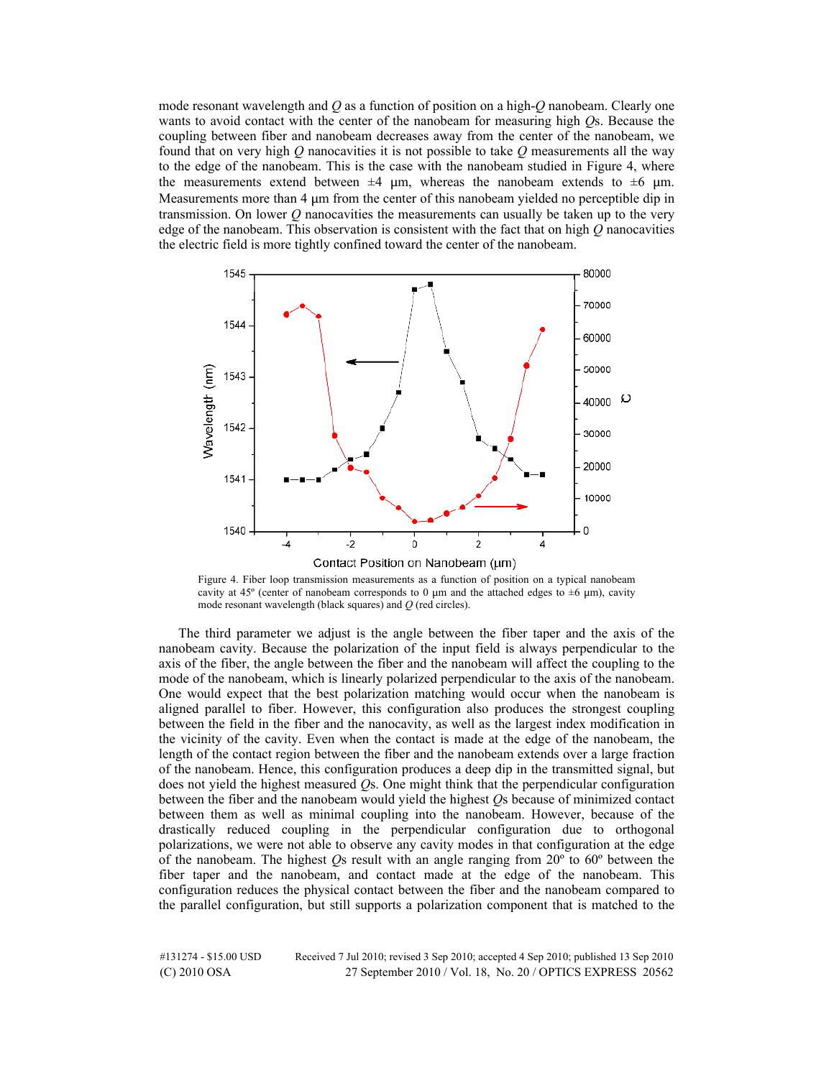mode resonant wavelength and *Q* as a function of position on a high-*Q* nanobeam. Clearly one wants to avoid contact with the center of the nanobeam for measuring high *Q*s. Because the coupling between fiber and nanobeam decreases away from the center of the nanobeam, we found that on very high *Q* nanocavities it is not possible to take *Q* measurements all the way to the edge of the nanobeam. This is the case with the nanobeam studied in Figure 4, where the measurements extend between  $\pm 4$  μm, whereas the nanobeam extends to  $\pm 6$  μm. Measurements more than 4 μm from the center of this nanobeam yielded no perceptible dip in transmission. On lower *Q* nanocavities the measurements can usually be taken up to the very edge of the nanobeam. This observation is consistent with the fact that on high *Q* nanocavities the electric field is more tightly confined toward the center of the nanobeam.



Figure 4. Fiber loop transmission measurements as a function of position on a typical nanobeam cavity at 45° (center of nanobeam corresponds to 0  $\mu$ m and the attached edges to  $\pm 6 \mu$ m), cavity mode resonant wavelength (black squares) and *Q* (red circles).

 The third parameter we adjust is the angle between the fiber taper and the axis of the nanobeam cavity. Because the polarization of the input field is always perpendicular to the axis of the fiber, the angle between the fiber and the nanobeam will affect the coupling to the mode of the nanobeam, which is linearly polarized perpendicular to the axis of the nanobeam. One would expect that the best polarization matching would occur when the nanobeam is aligned parallel to fiber. However, this configuration also produces the strongest coupling between the field in the fiber and the nanocavity, as well as the largest index modification in the vicinity of the cavity. Even when the contact is made at the edge of the nanobeam, the length of the contact region between the fiber and the nanobeam extends over a large fraction of the nanobeam. Hence, this configuration produces a deep dip in the transmitted signal, but does not yield the highest measured *Q*s. One might think that the perpendicular configuration between the fiber and the nanobeam would yield the highest *Q*s because of minimized contact between them as well as minimal coupling into the nanobeam. However, because of the drastically reduced coupling in the perpendicular configuration due to orthogonal polarizations, we were not able to observe any cavity modes in that configuration at the edge of the nanobeam. The highest *Q*s result with an angle ranging from 20º to 60º between the fiber taper and the nanobeam, and contact made at the edge of the nanobeam. This configuration reduces the physical contact between the fiber and the nanobeam compared to the parallel configuration, but still supports a polarization component that is matched to the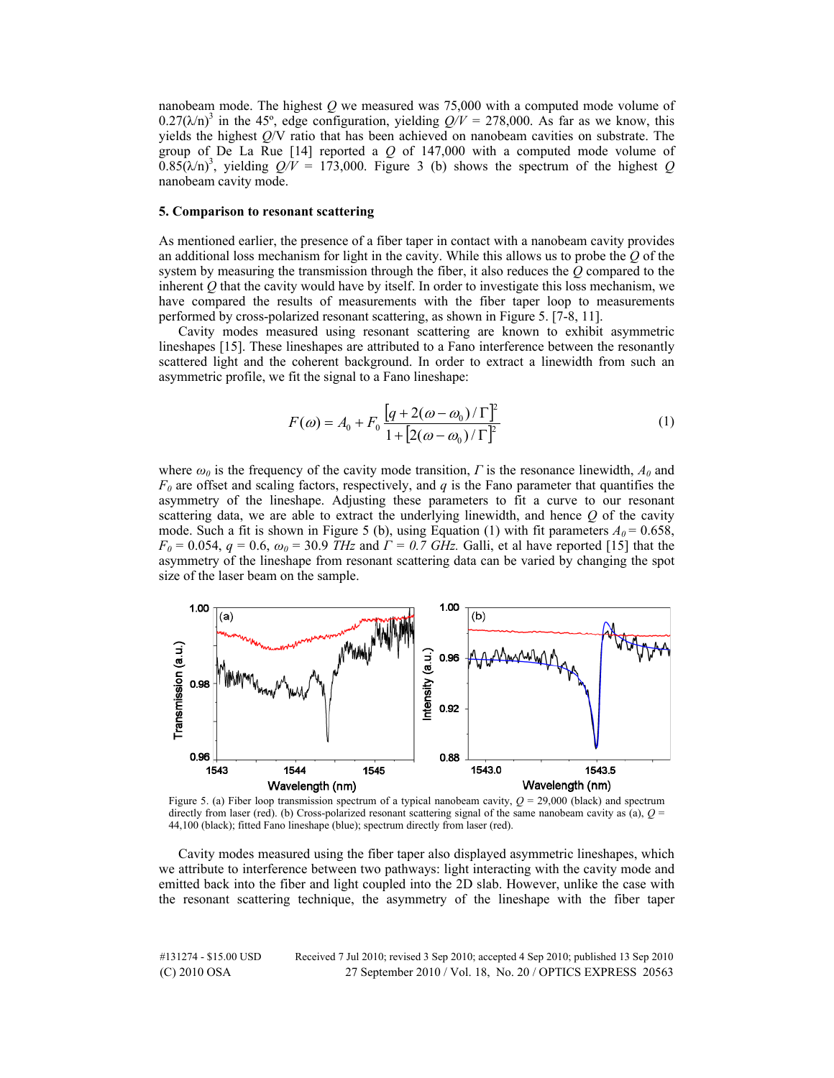nanobeam mode. The highest *Q* we measured was 75,000 with a computed mode volume of  $0.27(\lambda/n)^3$  in the 45°, edge configuration, yielding  $Q/V = 278,000$ . As far as we know, this yields the highest *Q*/V ratio that has been achieved on nanobeam cavities on substrate. The group of De La Rue [14] reported a *Q* of 147,000 with a computed mode volume of  $0.85(\lambda/n)^3$ , yielding  $Q/V = 173,000$ . Figure 3 (b) shows the spectrum of the highest Q nanobeam cavity mode.

# **5. Comparison to resonant scattering**

As mentioned earlier, the presence of a fiber taper in contact with a nanobeam cavity provides an additional loss mechanism for light in the cavity. While this allows us to probe the *Q* of the system by measuring the transmission through the fiber, it also reduces the *Q* compared to the inherent *Q* that the cavity would have by itself. In order to investigate this loss mechanism, we have compared the results of measurements with the fiber taper loop to measurements performed by cross-polarized resonant scattering, as shown in Figure 5. [7-8, 11].

 Cavity modes measured using resonant scattering are known to exhibit asymmetric lineshapes [15]. These lineshapes are attributed to a Fano interference between the resonantly scattered light and the coherent background. In order to extract a linewidth from such an asymmetric profile, we fit the signal to a Fano lineshape:

$$
F(\omega) = A_0 + F_0 \frac{[q + 2(\omega - \omega_0)/\Gamma]^2}{1 + [2(\omega - \omega_0)/\Gamma]^2}
$$
 (1)

where *ω0* is the frequency of the cavity mode transition, *Γ* is the resonance linewidth, *A0* and  $F_0$  are offset and scaling factors, respectively, and  $q$  is the Fano parameter that quantifies the asymmetry of the lineshape. Adjusting these parameters to fit a curve to our resonant scattering data, we are able to extract the underlying linewidth, and hence *Q* of the cavity mode. Such a fit is shown in Figure 5 (b), using Equation (1) with fit parameters  $A_0 = 0.658$ , *F*<sup>0</sup> = 0.054, *q* = 0.6,  $ω$ <sup>0</sup> = 30.9 *THz* and *Γ* = 0.7 *GHz*. Galli, et al have reported [15] that the asymmetry of the lineshape from resonant scattering data can be varied by changing the spot size of the laser beam on the sample.



Figure 5. (a) Fiber loop transmission spectrum of a typical nanobeam cavity, *Q* = 29,000 (black) and spectrum directly from laser (red). (b) Cross-polarized resonant scattering signal of the same nanobeam cavity as (a),  $Q =$ 44,100 (black); fitted Fano lineshape (blue); spectrum directly from laser (red).

 Cavity modes measured using the fiber taper also displayed asymmetric lineshapes, which we attribute to interference between two pathways: light interacting with the cavity mode and emitted back into the fiber and light coupled into the 2D slab. However, unlike the case with the resonant scattering technique, the asymmetry of the lineshape with the fiber taper